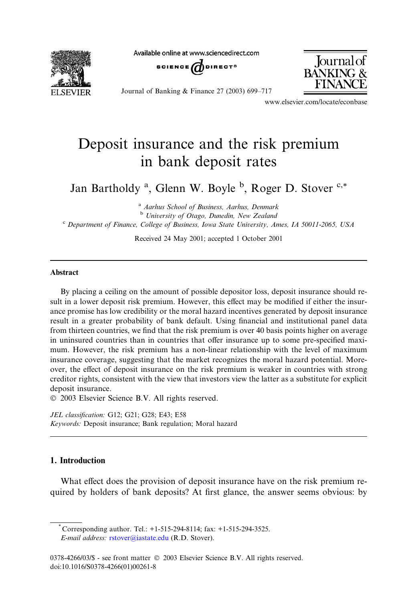**FI SEVIER** 

Available online at www.sciencedirect.com





Journal of Banking & Finance 27 (2003) 699–717

www.elsevier.com/locate/econbase

## Deposit insurance and the risk premium in bank deposit rates

Jan Bartholdy <sup>a</sup>, Glenn W. Boyle <sup>b</sup>, Roger D. Stover <sup>c,\*</sup>

<sup>a</sup> Aarhus School of Business, Aarhus, Denmark  $<sup>b</sup>$  University of Otago, Dunedin, New Zealand</sup> <sup>c</sup> Department of Finance, College of Business, Iowa State University, Ames, IA 50011-2065, USA

Received 24May 2001; accepted 1 October 2001

## Abstract

By placing a ceiling on the amount of possible depositor loss, deposit insurance should result in a lower deposit risk premium. However, this effect may be modified if either the insurance promise has low credibility or the moral hazard incentives generated by deposit insurance result in a greater probability of bank default. Using financial and institutional panel data from thirteen countries, we find that the risk premium is over 40 basis points higher on average in uninsured countries than in countries that offer insurance up to some pre-specified maximum. However, the risk premium has a non-linear relationship with the level of maximum insurance coverage, suggesting that the market recognizes the moral hazard potential. Moreover, the effect of deposit insurance on the risk premium is weaker in countries with strong creditor rights, consistent with the view that investors view the latter as a substitute for explicit deposit insurance.

2003 Elsevier Science B.V. All rights reserved.

JEL classification: G12; G21; G28; E43; E58 Keywords: Deposit insurance; Bank regulation; Moral hazard

## 1. Introduction

What effect does the provision of deposit insurance have on the risk premium required by holders of bank deposits? At first glance, the answer seems obvious: by

Corresponding author. Tel.: +1-515-294-8114; fax: +1-515-294-3525. E-mail address: [rstover@iastate.edu](mail to: rstover@iastate.edu) (R.D. Stover).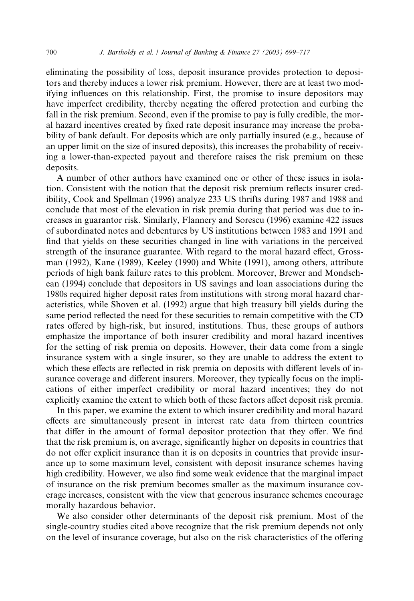eliminating the possibility of loss, deposit insurance provides protection to depositors and thereby induces a lower risk premium. However, there are at least two modifying influences on this relationship. First, the promise to insure depositors may have imperfect credibility, thereby negating the offered protection and curbing the fall in the risk premium. Second, even if the promise to pay is fully credible, the moral hazard incentives created by fixed rate deposit insurance may increase the probability of bank default. For deposits which are only partially insured (e.g., because of an upper limit on the size of insured deposits), this increases the probability of receiving a lower-than-expected payout and therefore raises the risk premium on these deposits.

A number of other authors have examined one or other of these issues in isolation. Consistent with the notion that the deposit risk premium reflects insurer credibility, Cook and Spellman (1996) analyze 233 US thrifts during 1987 and 1988 and conclude that most of the elevation in risk premia during that period was due to increases in guarantor risk. Similarly, Flannery and Sorescu (1996) examine 422 issues of subordinated notes and debentures by US institutions between 1983 and 1991 and find that yields on these securities changed in line with variations in the perceived strength of the insurance guarantee. With regard to the moral hazard effect, Grossman (1992), Kane (1989), Keeley (1990) and White (1991), among others, attribute periods of high bank failure rates to this problem. Moreover, Brewer and Mondschean (1994) conclude that depositors in US savings and loan associations during the 1980s required higher deposit rates from institutions with strong moral hazard characteristics, while Shoven et al. (1992) argue that high treasury bill yields during the same period reflected the need for these securities to remain competitive with the CD rates offered by high-risk, but insured, institutions. Thus, these groups of authors emphasize the importance of both insurer credibility and moral hazard incentives for the setting of risk premia on deposits. However, their data come from a single insurance system with a single insurer, so they are unable to address the extent to which these effects are reflected in risk premia on deposits with different levels of insurance coverage and different insurers. Moreover, they typically focus on the implications of either imperfect credibility or moral hazard incentives; they do not explicitly examine the extent to which both of these factors affect deposit risk premia.

In this paper, we examine the extent to which insurer credibility and moral hazard effects are simultaneously present in interest rate data from thirteen countries that differ in the amount of formal depositor protection that they offer. We find that the risk premium is, on average, significantly higher on deposits in countries that do not offer explicit insurance than it is on deposits in countries that provide insurance up to some maximum level, consistent with deposit insurance schemes having high credibility. However, we also find some weak evidence that the marginal impact of insurance on the risk premium becomes smaller as the maximum insurance coverage increases, consistent with the view that generous insurance schemes encourage morally hazardous behavior.

We also consider other determinants of the deposit risk premium. Most of the single-country studies cited above recognize that the risk premium depends not only on the level of insurance coverage, but also on the risk characteristics of the offering